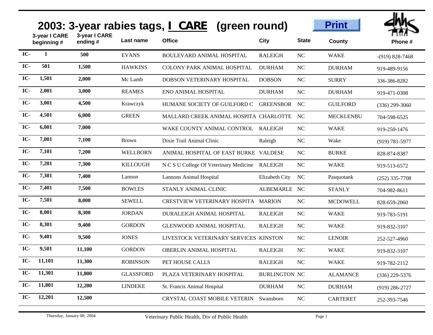|       |                              |                          |                  | 2003: 3-year rabies tags, I CARE (green round) |                      |              | <b>Print</b>     |                    |
|-------|------------------------------|--------------------------|------------------|------------------------------------------------|----------------------|--------------|------------------|--------------------|
|       | 3-year I CARE<br>beginning # | 3-year I CARE<br>ending# | Last name        | <b>Office</b>                                  | City                 | <b>State</b> | <b>County</b>    | Phone#             |
| IC-   | 1                            | 500                      | <b>EVANS</b>     | <b>BOULEVARD ANIMAL HOSPITAL</b>               | <b>RALEIGH</b>       | NC           | <b>WAKE</b>      | $-(919)$ 828-7468  |
| IC-   | 501                          | 1,500                    | <b>HAWKINS</b>   | <b>COLONY PARK ANIMAL HOSPITAL</b>             | <b>DURHAM</b>        | NC           | <b>DURHAM</b>    | 919-489-9156       |
| IC-   | 1,501                        | 2,000                    | Mc Lamb          | <b>DOBSON VETERINARY HOSPITAL</b>              | <b>DOBSON</b>        | NC           | <b>SURRY</b>     | 336-386-8282       |
| IC-   | 2,001                        | 3,000                    | <b>REAMES</b>    | ENO ANIMAL HOSPITAL                            | <b>DURHAM</b>        | NC           | <b>DURHAM</b>    | 919-471-0308       |
| IC-   | 3,001                        | 4,500                    | Krawczyk         | HUMANE SOCIETY OF GUILFORD C                   | <b>GREENSBOR</b>     | NC           | <b>GUILFORD</b>  | $(336)$ 299-3060   |
| IC-   | 4,501                        | 6,000                    | <b>GREEN</b>     | MALLARD CREEK ANIMAL HOSPITA CHARLOTTE         |                      | NC           | <b>MECKLENBU</b> | 704-598-6525       |
| IC-   | 6,001                        | 7,000                    |                  | WAKE COUNTY ANIMAL CONTROL                     | <b>RALEIGH</b>       | NC           | <b>WAKE</b>      | 919-250-1476       |
| IC-   | 7,001                        | 7,100                    | <b>Brown</b>     | Dixie Trail Animal Clinic                      | Raleigh              | NC           | Wake             | $(919) 781 - 5977$ |
| IC-   | 7,101                        | 7,200                    | <b>WELLBORN</b>  | ANIMAL HOSPITAL OF EAST BURKE VALDESE          |                      | NC           | <b>BURKE</b>     | 828-874-8387       |
| IC-   | 7,201                        | 7,300                    | <b>KILLOUGH</b>  | N C S U College Of Veterinary Medicine         | RALEIGH              | NC           | <b>WAKE</b>      | 919-513-6572       |
| IC-   | 7,301                        | 7,400                    | Lannon           | Lannons Animal Hospital                        | Elizabeth City       | NC           | Pasquotank       | $(252)$ 335-7708   |
| IC-   | 7,401                        | 7,500                    | <b>BOWLES</b>    | STANLY ANIMAL CLINIC                           | ALBEMARLE NC         |              | <b>STANLY</b>    | 704-982-8611       |
| IC-   | 7,501                        | 8,000                    | <b>SEWELL</b>    | <b>CRESTVIEW VETERINARY HOSPITA</b>            | <b>MARION</b>        | NC           | <b>MCDOWELL</b>  | 828-659-2060       |
| IC-   | 8,001                        | 8,300                    | <b>JORDAN</b>    | DURALEIGH ANIMAL HOSPITAL                      | <b>RALEIGH</b>       | NC           | <b>WAKE</b>      | 919-783-5191       |
| IC-   | 8,301                        | 9,400                    | <b>GORDON</b>    | <b>GLENWOOD ANIMAL HOSPITAL</b>                | <b>RALEIGH</b>       | NC           | <b>WAKE</b>      | 919-832-3107       |
| $IC-$ | 9,401                        | 9,500                    | <b>JONES</b>     | LIVESTOCK VETERINARY SERVICES KINSTON          |                      | NC           | <b>LENOIR</b>    | 252-527-4960       |
| IC-   | 9,501                        | 11,100                   | <b>GORDON</b>    | <b>OBERLIN ANIMAL HOSPITAL</b>                 | <b>RALEIGH</b>       | NC           | <b>WAKE</b>      | 919-832-3107       |
| IC-   | 11,101                       | 11,300                   | <b>ROBINSON</b>  | PET HOUSE CALLS                                | <b>RALEIGH</b>       | $\rm NC$     | <b>WAKE</b>      | 919-782-2112       |
| IC-   | 11,301                       | 11,800                   | <b>GLASSFORD</b> | PLAZA VETERINARY HOSPITAL                      | <b>BURLINGTON NC</b> |              | <b>ALAMANCE</b>  | $(336)$ 229-5376   |
| IC-   | 11,801                       | 12,200                   | <b>LINDEKE</b>   | St. Francis Animal Hospital                    | <b>DURHAM</b>        | NC           | <b>DURHAM</b>    | $(919)$ 286-2727   |
| IC-   | 12,201                       | 12,500                   |                  | CRYSTAL COAST MOBILE VETERIN                   | Swansboro            | NC           | <b>CARTERET</b>  | 252-393-7546       |